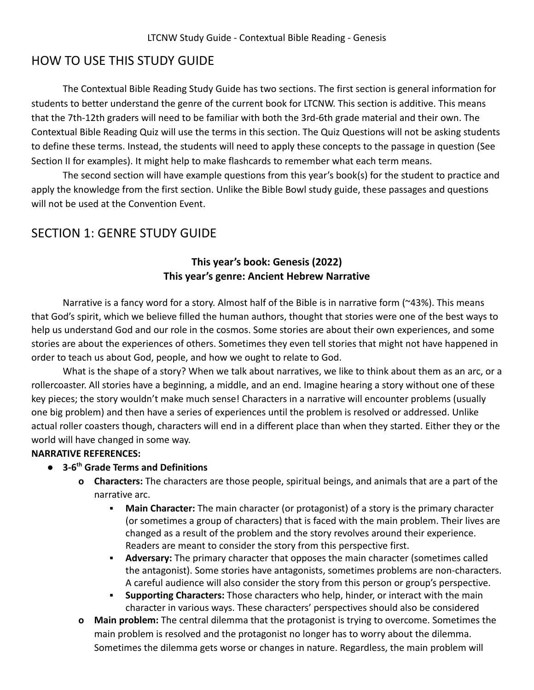## HOW TO USE THIS STUDY GUIDE

The Contextual Bible Reading Study Guide has two sections. The first section is general information for students to better understand the genre of the current book for LTCNW. This section is additive. This means that the 7th-12th graders will need to be familiar with both the 3rd-6th grade material and their own. The Contextual Bible Reading Quiz will use the terms in this section. The Quiz Questions will not be asking students to define these terms. Instead, the students will need to apply these concepts to the passage in question (See Section II for examples). It might help to make flashcards to remember what each term means.

The second section will have example questions from this year's book(s) for the student to practice and apply the knowledge from the first section. Unlike the Bible Bowl study guide, these passages and questions will not be used at the Convention Event.

# SECTION 1: GENRE STUDY GUIDE

## **This year's book: Genesis (2022) This year's genre: Ancient Hebrew Narrative**

Narrative is a fancy word for a story. Almost half of the Bible is in narrative form (~43%). This means that God's spirit, which we believe filled the human authors, thought that stories were one of the best ways to help us understand God and our role in the cosmos. Some stories are about their own experiences, and some stories are about the experiences of others. Sometimes they even tell stories that might not have happened in order to teach us about God, people, and how we ought to relate to God.

What is the shape of a story? When we talk about narratives, we like to think about them as an arc, or a rollercoaster. All stories have a beginning, a middle, and an end. Imagine hearing a story without one of these key pieces; the story wouldn't make much sense! Characters in a narrative will encounter problems (usually one big problem) and then have a series of experiences until the problem is resolved or addressed. Unlike actual roller coasters though, characters will end in a different place than when they started. Either they or the world will have changed in some way.

## **NARRATIVE REFERENCES:**

## **● 3-6th Grade Terms and Definitions**

- **o Characters:** The characters are those people, spiritual beings, and animals that are a part of the narrative arc.
	- **Main Character:** The main character (or protagonist) of a story is the primary character (or sometimes a group of characters) that is faced with the main problem. Their lives are changed as a result of the problem and the story revolves around their experience. Readers are meant to consider the story from this perspective first.
	- **EXED Adversary:** The primary character that opposes the main character (sometimes called the antagonist). Some stories have antagonists, sometimes problems are non-characters. A careful audience will also consider the story from this person or group's perspective.
	- **Supporting Characters:** Those characters who help, hinder, or interact with the main character in various ways. These characters' perspectives should also be considered
- **o Main problem:** The central dilemma that the protagonist is trying to overcome. Sometimes the main problem is resolved and the protagonist no longer has to worry about the dilemma. Sometimes the dilemma gets worse or changes in nature. Regardless, the main problem will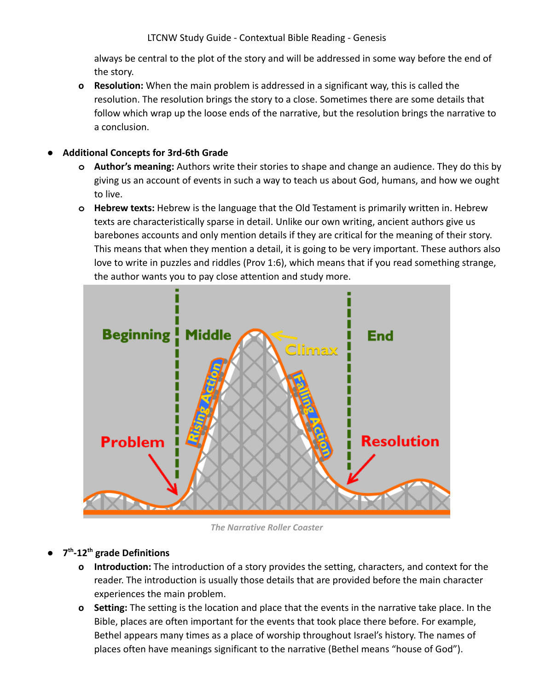LTCNW Study Guide - Contextual Bible Reading - Genesis

always be central to the plot of the story and will be addressed in some way before the end of the story.

**o Resolution:** When the main problem is addressed in a significant way, this is called the resolution. The resolution brings the story to a close. Sometimes there are some details that follow which wrap up the loose ends of the narrative, but the resolution brings the narrative to a conclusion.

### **● Additional Concepts for 3rd-6th Grade**

- **o Author's meaning:** Authors write their stories to shape and change an audience. They do this by giving us an account of events in such a way to teach us about God, humans, and how we ought to live.
- **o Hebrew texts:** Hebrew is the language that the Old Testament is primarily written in. Hebrew texts are characteristically sparse in detail. Unlike our own writing, ancient authors give us barebones accounts and only mention details if they are critical for the meaning of their story. This means that when they mention a detail, it is going to be very important. These authors also love to write in puzzles and riddles (Prov 1:6), which means that if you read something strange, the author wants you to pay close attention and study more.



*The Narrative Roller Coaster*

## **● 7 th -12th grade Definitions**

- **o Introduction:** The introduction of a story provides the setting, characters, and context for the reader. The introduction is usually those details that are provided before the main character experiences the main problem.
- **o Setting:** The setting is the location and place that the events in the narrative take place. In the Bible, places are often important for the events that took place there before. For example, Bethel appears many times as a place of worship throughout Israel's history. The names of places often have meanings significant to the narrative (Bethel means "house of God").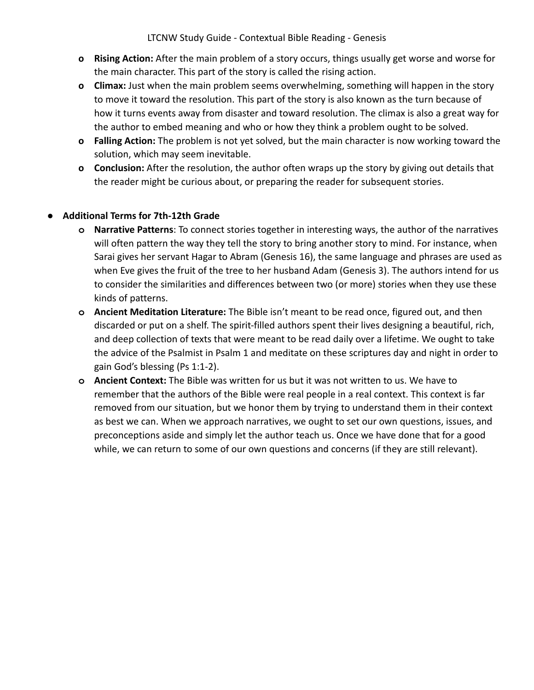LTCNW Study Guide - Contextual Bible Reading - Genesis

- **o Rising Action:** After the main problem of a story occurs, things usually get worse and worse for the main character. This part of the story is called the rising action.
- **o Climax:** Just when the main problem seems overwhelming, something will happen in the story to move it toward the resolution. This part of the story is also known as the turn because of how it turns events away from disaster and toward resolution. The climax is also a great way for the author to embed meaning and who or how they think a problem ought to be solved.
- **o Falling Action:** The problem is not yet solved, but the main character is now working toward the solution, which may seem inevitable.
- **o Conclusion:** After the resolution, the author often wraps up the story by giving out details that the reader might be curious about, or preparing the reader for subsequent stories.

### **● Additional Terms for 7th-12th Grade**

- **o Narrative Patterns**: To connect stories together in interesting ways, the author of the narratives will often pattern the way they tell the story to bring another story to mind. For instance, when Sarai gives her servant Hagar to Abram (Genesis 16), the same language and phrases are used as when Eve gives the fruit of the tree to her husband Adam (Genesis 3). The authors intend for us to consider the similarities and differences between two (or more) stories when they use these kinds of patterns.
- **o Ancient Meditation Literature:** The Bible isn't meant to be read once, figured out, and then discarded or put on a shelf. The spirit-filled authors spent their lives designing a beautiful, rich, and deep collection of texts that were meant to be read daily over a lifetime. We ought to take the advice of the Psalmist in Psalm 1 and meditate on these scriptures day and night in order to gain God's blessing (Ps 1:1-2).
- **o Ancient Context:** The Bible was written for us but it was not written to us. We have to remember that the authors of the Bible were real people in a real context. This context is far removed from our situation, but we honor them by trying to understand them in their context as best we can. When we approach narratives, we ought to set our own questions, issues, and preconceptions aside and simply let the author teach us. Once we have done that for a good while, we can return to some of our own questions and concerns (if they are still relevant).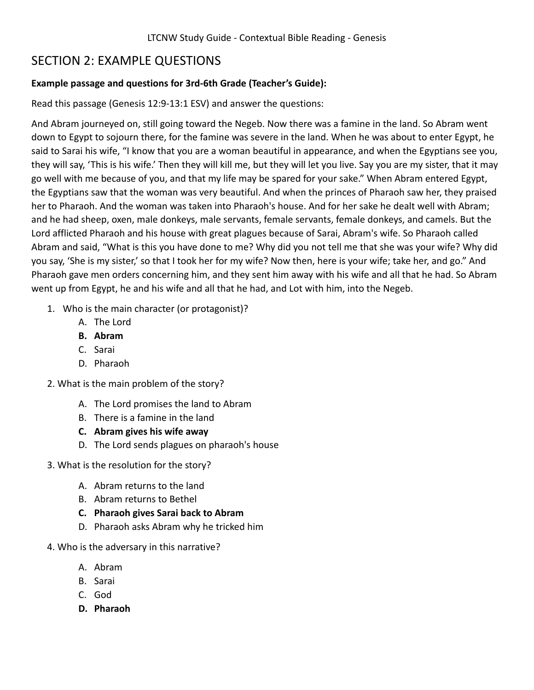# SECTION 2: EXAMPLE QUESTIONS

### **Example passage and questions for 3rd-6th Grade (Teacher's Guide):**

Read this passage (Genesis 12:9-13:1 ESV) and answer the questions:

And Abram journeyed on, still going toward the Negeb. Now there was a famine in the land. So Abram went down to Egypt to sojourn there, for the famine was severe in the land. When he was about to enter Egypt, he said to Sarai his wife, "I know that you are a woman beautiful in appearance, and when the Egyptians see you, they will say, 'This is his wife.' Then they will kill me, but they will let you live. Say you are my sister, that it may go well with me because of you, and that my life may be spared for your sake." When Abram entered Egypt, the Egyptians saw that the woman was very beautiful. And when the princes of Pharaoh saw her, they praised her to Pharaoh. And the woman was taken into Pharaoh's house. And for her sake he dealt well with Abram; and he had sheep, oxen, male donkeys, male servants, female servants, female donkeys, and camels. But the Lord afflicted Pharaoh and his house with great plagues because of Sarai, Abram's wife. So Pharaoh called Abram and said, "What is this you have done to me? Why did you not tell me that she was your wife? Why did you say, 'She is my sister,' so that I took her for my wife? Now then, here is your wife; take her, and go." And Pharaoh gave men orders concerning him, and they sent him away with his wife and all that he had. So Abram went up from Egypt, he and his wife and all that he had, and Lot with him, into the Negeb.

- 1. Who is the main character (or protagonist)?
	- A. The Lord
	- **B. Abram**
	- C. Sarai
	- D. Pharaoh
- 2. What is the main problem of the story?
	- A. The Lord promises the land to Abram
	- B. There is a famine in the land
	- **C. Abram gives his wife away**
	- D. The Lord sends plagues on pharaoh's house
- 3. What is the resolution for the story?
	- A. Abram returns to the land
	- B. Abram returns to Bethel
	- **C. Pharaoh gives Sarai back to Abram**
	- D. Pharaoh asks Abram why he tricked him
- 4. Who is the adversary in this narrative?
	- A. Abram
	- B. Sarai
	- C. God
	- **D. Pharaoh**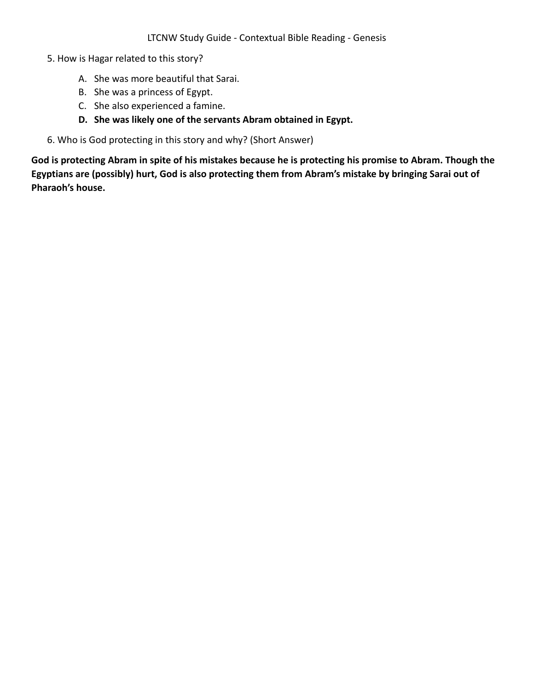- 5. How is Hagar related to this story?
	- A. She was more beautiful that Sarai.
	- B. She was a princess of Egypt.
	- C. She also experienced a famine.
	- **D. She was likely one of the servants Abram obtained in Egypt.**
- 6. Who is God protecting in this story and why? (Short Answer)

**God is protecting Abram in spite of his mistakes because he is protecting his promise to Abram. Though the Egyptians are (possibly) hurt, God is also protecting them from Abram's mistake by bringing Sarai out of Pharaoh's house.**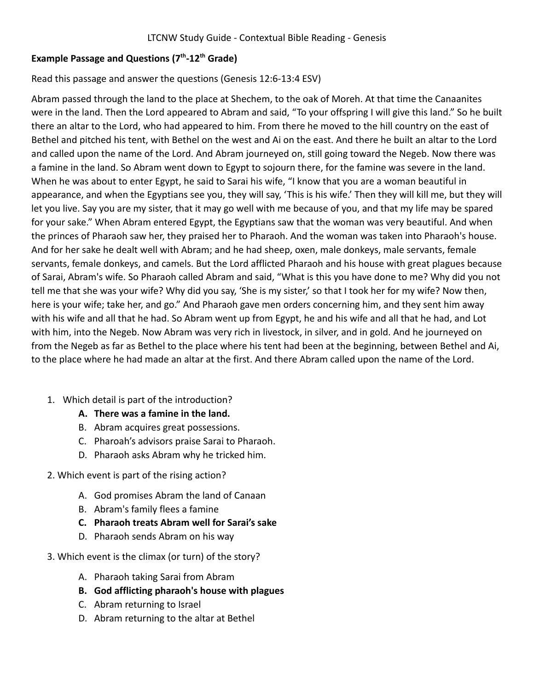## **Example Passage and Questions (7th -12th Grade)**

### Read this passage and answer the questions (Genesis 12:6-13:4 ESV)

Abram passed through the land to the place at Shechem, to the oak of Moreh. At that time the Canaanites were in the land. Then the Lord appeared to Abram and said, "To your offspring I will give this land." So he built there an altar to the Lord, who had appeared to him. From there he moved to the hill country on the east of Bethel and pitched his tent, with Bethel on the west and Ai on the east. And there he built an altar to the Lord and called upon the name of the Lord. And Abram journeyed on, still going toward the Negeb. Now there was a famine in the land. So Abram went down to Egypt to sojourn there, for the famine was severe in the land. When he was about to enter Egypt, he said to Sarai his wife, "I know that you are a woman beautiful in appearance, and when the Egyptians see you, they will say, 'This is his wife.' Then they will kill me, but they will let you live. Say you are my sister, that it may go well with me because of you, and that my life may be spared for your sake." When Abram entered Egypt, the Egyptians saw that the woman was very beautiful. And when the princes of Pharaoh saw her, they praised her to Pharaoh. And the woman was taken into Pharaoh's house. And for her sake he dealt well with Abram; and he had sheep, oxen, male donkeys, male servants, female servants, female donkeys, and camels. But the Lord afflicted Pharaoh and his house with great plagues because of Sarai, Abram's wife. So Pharaoh called Abram and said, "What is this you have done to me? Why did you not tell me that she was your wife? Why did you say, 'She is my sister,' so that I took her for my wife? Now then, here is your wife; take her, and go." And Pharaoh gave men orders concerning him, and they sent him away with his wife and all that he had. So Abram went up from Egypt, he and his wife and all that he had, and Lot with him, into the Negeb. Now Abram was very rich in livestock, in silver, and in gold. And he journeyed on from the Negeb as far as Bethel to the place where his tent had been at the beginning, between Bethel and Ai, to the place where he had made an altar at the first. And there Abram called upon the name of the Lord.

1. Which detail is part of the introduction?

## **A. There was a famine in the land.**

- B. Abram acquires great possessions.
- C. Pharoah's advisors praise Sarai to Pharaoh.
- D. Pharaoh asks Abram why he tricked him.
- 2. Which event is part of the rising action?
	- A. God promises Abram the land of Canaan
	- B. Abram's family flees a famine
	- **C. Pharaoh treats Abram well for Sarai's sake**
	- D. Pharaoh sends Abram on his way
- 3. Which event is the climax (or turn) of the story?
	- A. Pharaoh taking Sarai from Abram
	- **B. God afflicting pharaoh's house with plagues**
	- C. Abram returning to Israel
	- D. Abram returning to the altar at Bethel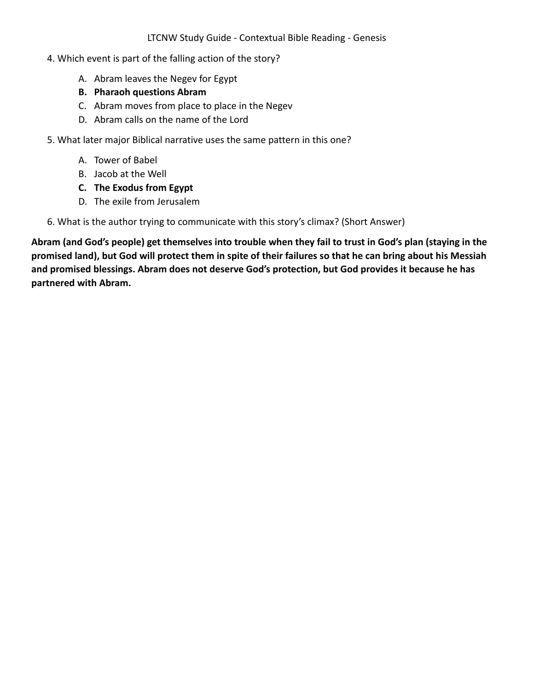- 4. Which event is part of the falling action of the story?
	- A. Abram leaves the Negev for Egypt
	- **B. Pharaoh questions Abram**
	- C. Abram moves from place to place in the Negev
	- D. Abram calls on the name of the Lord
- 5. What later major Biblical narrative uses the same pattern in this one?
	- A. Tower of Babel
	- B. Jacob at the Well
	- **C. The Exodus from Egypt**
	- D. The exile from Jerusalem

6. What is the author trying to communicate with this story's climax? (Short Answer)

**Abram (and God's people) get themselves into trouble when they fail to trust in God's plan (staying in the promised land), but God will protect them in spite of their failures so that he can bring about his Messiah and promised blessings. Abram does not deserve God's protection, but God provides it because he has partnered with Abram.**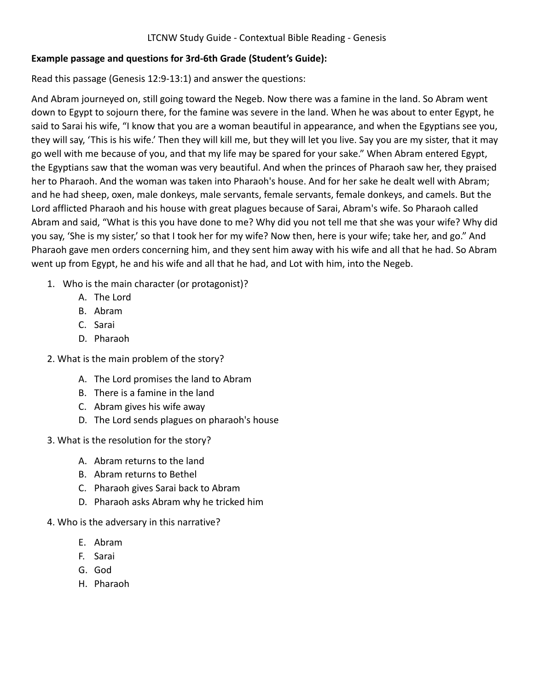### **Example passage and questions for 3rd-6th Grade (Student's Guide):**

Read this passage (Genesis 12:9-13:1) and answer the questions:

And Abram journeyed on, still going toward the Negeb. Now there was a famine in the land. So Abram went down to Egypt to sojourn there, for the famine was severe in the land. When he was about to enter Egypt, he said to Sarai his wife, "I know that you are a woman beautiful in appearance, and when the Egyptians see you, they will say, 'This is his wife.' Then they will kill me, but they will let you live. Say you are my sister, that it may go well with me because of you, and that my life may be spared for your sake." When Abram entered Egypt, the Egyptians saw that the woman was very beautiful. And when the princes of Pharaoh saw her, they praised her to Pharaoh. And the woman was taken into Pharaoh's house. And for her sake he dealt well with Abram; and he had sheep, oxen, male donkeys, male servants, female servants, female donkeys, and camels. But the Lord afflicted Pharaoh and his house with great plagues because of Sarai, Abram's wife. So Pharaoh called Abram and said, "What is this you have done to me? Why did you not tell me that she was your wife? Why did you say, 'She is my sister,' so that I took her for my wife? Now then, here is your wife; take her, and go." And Pharaoh gave men orders concerning him, and they sent him away with his wife and all that he had. So Abram went up from Egypt, he and his wife and all that he had, and Lot with him, into the Negeb.

- 1. Who is the main character (or protagonist)?
	- A. The Lord
	- B. Abram
	- C. Sarai
	- D. Pharaoh
- 2. What is the main problem of the story?
	- A. The Lord promises the land to Abram
	- B. There is a famine in the land
	- C. Abram gives his wife away
	- D. The Lord sends plagues on pharaoh's house
- 3. What is the resolution for the story?
	- A. Abram returns to the land
	- B. Abram returns to Bethel
	- C. Pharaoh gives Sarai back to Abram
	- D. Pharaoh asks Abram why he tricked him
- 4. Who is the adversary in this narrative?
	- E. Abram
	- F. Sarai
	- G. God
	- H. Pharaoh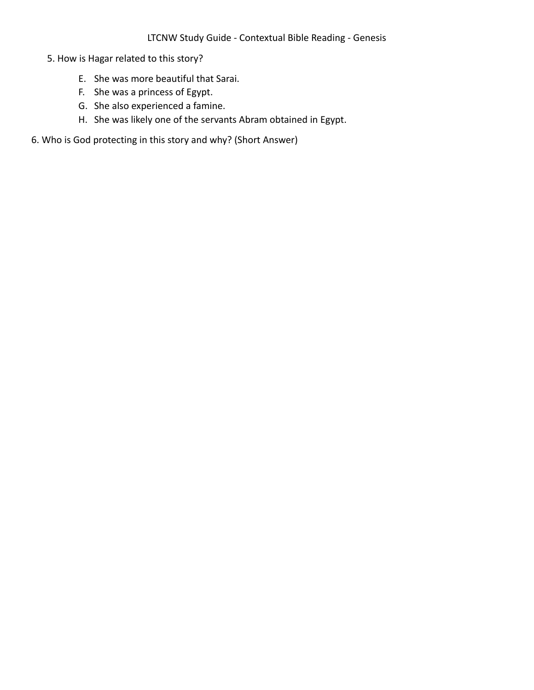- 5. How is Hagar related to this story?
	- E. She was more beautiful that Sarai.
	- F. She was a princess of Egypt.
	- G. She also experienced a famine.
	- H. She was likely one of the servants Abram obtained in Egypt.
- 6. Who is God protecting in this story and why? (Short Answer)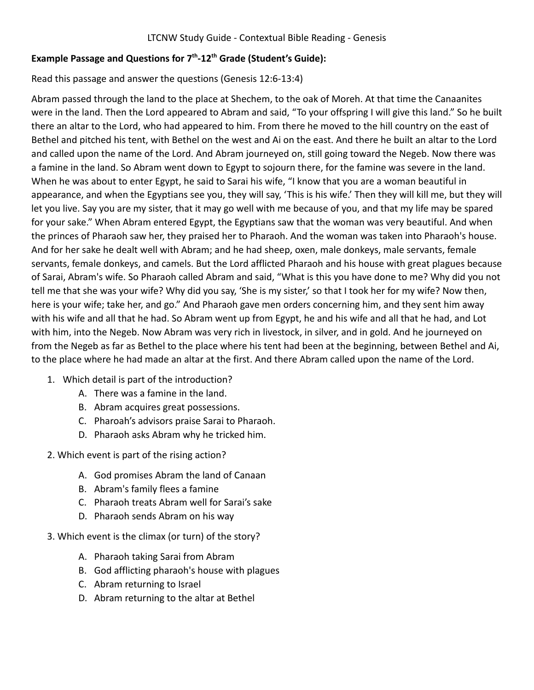## **Example Passage and Questions for 7th -12th Grade (Student's Guide):**

Read this passage and answer the questions (Genesis 12:6-13:4)

Abram passed through the land to the place at Shechem, to the oak of Moreh. At that time the Canaanites were in the land. Then the Lord appeared to Abram and said, "To your offspring I will give this land." So he built there an altar to the Lord, who had appeared to him. From there he moved to the hill country on the east of Bethel and pitched his tent, with Bethel on the west and Ai on the east. And there he built an altar to the Lord and called upon the name of the Lord. And Abram journeyed on, still going toward the Negeb. Now there was a famine in the land. So Abram went down to Egypt to sojourn there, for the famine was severe in the land. When he was about to enter Egypt, he said to Sarai his wife, "I know that you are a woman beautiful in appearance, and when the Egyptians see you, they will say, 'This is his wife.' Then they will kill me, but they will let you live. Say you are my sister, that it may go well with me because of you, and that my life may be spared for your sake." When Abram entered Egypt, the Egyptians saw that the woman was very beautiful. And when the princes of Pharaoh saw her, they praised her to Pharaoh. And the woman was taken into Pharaoh's house. And for her sake he dealt well with Abram; and he had sheep, oxen, male donkeys, male servants, female servants, female donkeys, and camels. But the Lord afflicted Pharaoh and his house with great plagues because of Sarai, Abram's wife. So Pharaoh called Abram and said, "What is this you have done to me? Why did you not tell me that she was your wife? Why did you say, 'She is my sister,' so that I took her for my wife? Now then, here is your wife; take her, and go." And Pharaoh gave men orders concerning him, and they sent him away with his wife and all that he had. So Abram went up from Egypt, he and his wife and all that he had, and Lot with him, into the Negeb. Now Abram was very rich in livestock, in silver, and in gold. And he journeyed on from the Negeb as far as Bethel to the place where his tent had been at the beginning, between Bethel and Ai, to the place where he had made an altar at the first. And there Abram called upon the name of the Lord.

- 1. Which detail is part of the introduction?
	- A. There was a famine in the land.
	- B. Abram acquires great possessions.
	- C. Pharoah's advisors praise Sarai to Pharaoh.
	- D. Pharaoh asks Abram why he tricked him.
- 2. Which event is part of the rising action?
	- A. God promises Abram the land of Canaan
	- B. Abram's family flees a famine
	- C. Pharaoh treats Abram well for Sarai's sake
	- D. Pharaoh sends Abram on his way
- 3. Which event is the climax (or turn) of the story?
	- A. Pharaoh taking Sarai from Abram
	- B. God afflicting pharaoh's house with plagues
	- C. Abram returning to Israel
	- D. Abram returning to the altar at Bethel